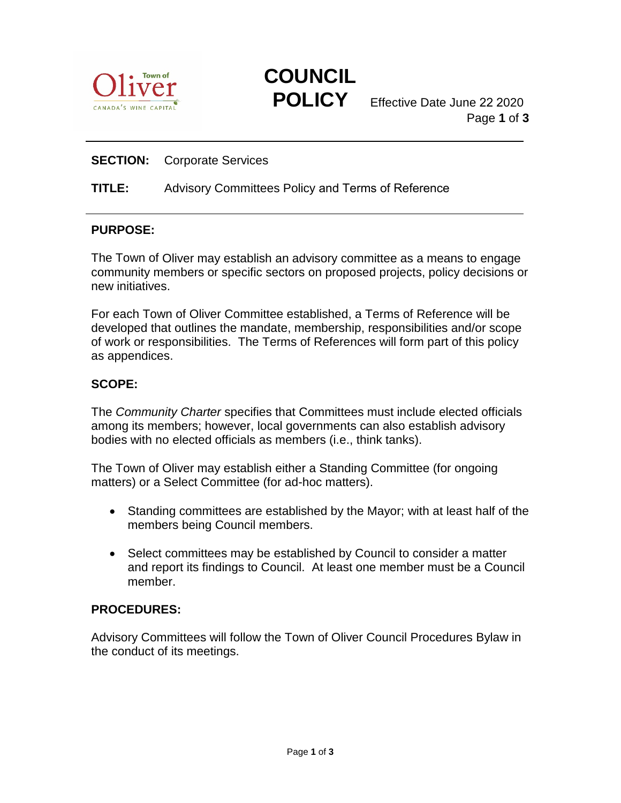



**POLICY** Effective Date June 22 2<sup>020</sup> Page **1** of **3**

## **SECTION:** Corporate Services

#### **TITLE:** Advisory Committees Policy and Terms of Reference

#### **PURPOSE:**

The Town of Oliver may establish an advisory committee as a means to engage community members or specific sectors on proposed projects, policy decisions or new initiatives.

For each Town of Oliver Committee established, a Terms of Reference will be developed that outlines the mandate, membership, responsibilities and/or scope of work or responsibilities. The Terms of References will form part of this policy as appendices.

#### **SCOPE:**

The *Community Charter* specifies that Committees must include elected officials among its members; however, local governments can also establish advisory bodies with no elected officials as members (i.e., think tanks).

The Town of Oliver may establish either a Standing Committee (for ongoing matters) or a Select Committee (for ad-hoc matters).

- Standing committees are established by the Mayor; with at least half of the members being Council members.
- Select committees may be established by Council to consider a matter and report its findings to Council. At least one member must be a Council member.

## **PROCEDURES:**

Advisory Committees will follow the Town of Oliver Council Procedures Bylaw in the conduct of its meetings.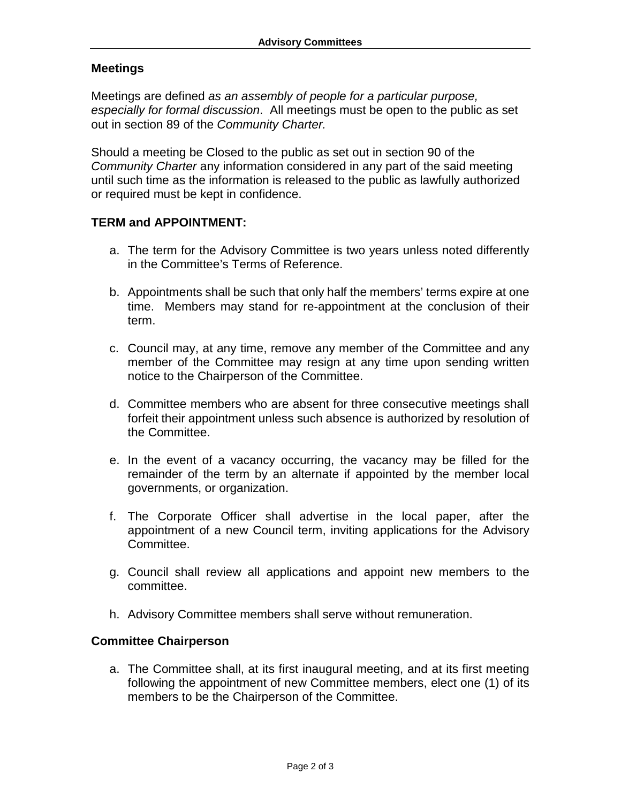### **Meetings**

Meetings are defined *as an assembly of people for a particular purpose, especially for formal discussion*. All meetings must be open to the public as set out in section 89 of the *Community Charter.*

Should a meeting be Closed to the public as set out in section 90 of the *Community Charter* any information considered in any part of the said meeting until such time as the information is released to the public as lawfully authorized or required must be kept in confidence.

#### **TERM and APPOINTMENT:**

- a. The term for the Advisory Committee is two years unless noted differently in the Committee's Terms of Reference.
- b. Appointments shall be such that only half the members' terms expire at one time. Members may stand for re-appointment at the conclusion of their term.
- c. Council may, at any time, remove any member of the Committee and any member of the Committee may resign at any time upon sending written notice to the Chairperson of the Committee.
- d. Committee members who are absent for three consecutive meetings shall forfeit their appointment unless such absence is authorized by resolution of the Committee.
- e. In the event of a vacancy occurring, the vacancy may be filled for the remainder of the term by an alternate if appointed by the member local governments, or organization.
- f. The Corporate Officer shall advertise in the local paper, after the appointment of a new Council term, inviting applications for the Advisory Committee.
- g. Council shall review all applications and appoint new members to the committee.
- h. Advisory Committee members shall serve without remuneration.

#### **Committee Chairperson**

a. The Committee shall, at its first inaugural meeting, and at its first meeting following the appointment of new Committee members, elect one (1) of its members to be the Chairperson of the Committee.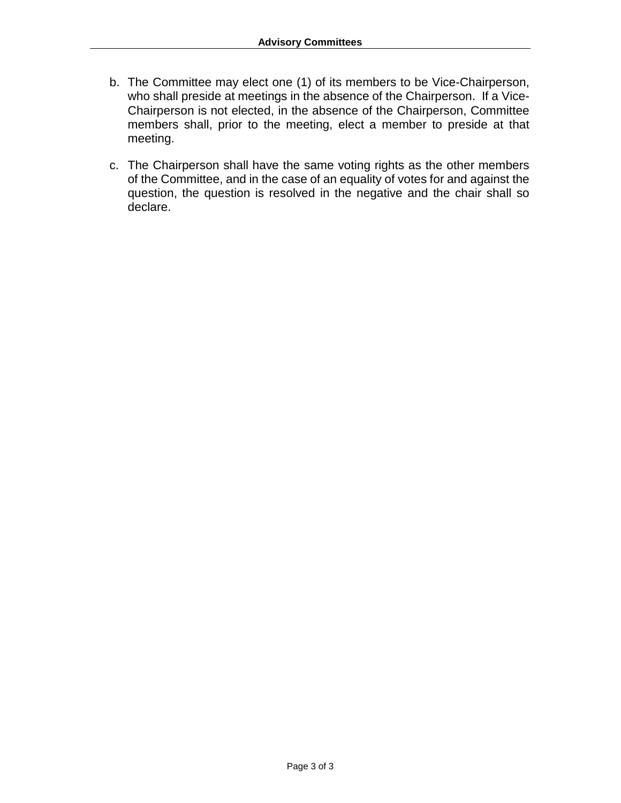- b. The Committee may elect one (1) of its members to be Vice-Chairperson, who shall preside at meetings in the absence of the Chairperson. If a Vice-Chairperson is not elected, in the absence of the Chairperson, Committee members shall, prior to the meeting, elect a member to preside at that meeting.
- c. The Chairperson shall have the same voting rights as the other members of the Committee, and in the case of an equality of votes for and against the question, the question is resolved in the negative and the chair shall so declare.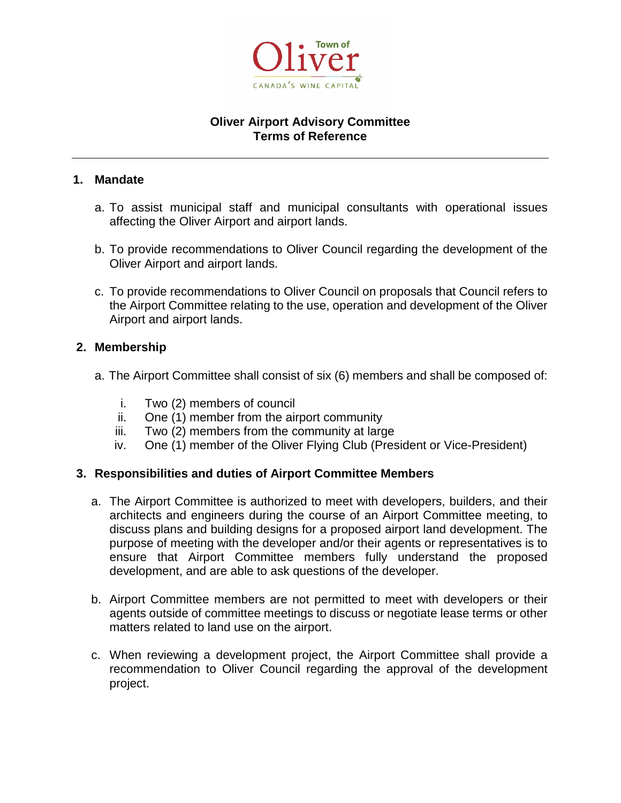

## **Oliver Airport Advisory Committee Terms of Reference**

#### **1. Mandate**

- a. To assist municipal staff and municipal consultants with operational issues affecting the Oliver Airport and airport lands.
- b. To provide recommendations to Oliver Council regarding the development of the Oliver Airport and airport lands.
- c. To provide recommendations to Oliver Council on proposals that Council refers to the Airport Committee relating to the use, operation and development of the Oliver Airport and airport lands.

## **2. Membership**

- a. The Airport Committee shall consist of six (6) members and shall be composed of:
	- i. Two (2) members of council
	- ii. One (1) member from the airport community
	- iii. Two (2) members from the community at large
	- iv. One (1) member of the Oliver Flying Club (President or Vice-President)

## **3. Responsibilities and duties of Airport Committee Members**

- a. The Airport Committee is authorized to meet with developers, builders, and their architects and engineers during the course of an Airport Committee meeting, to discuss plans and building designs for a proposed airport land development. The purpose of meeting with the developer and/or their agents or representatives is to ensure that Airport Committee members fully understand the proposed development, and are able to ask questions of the developer.
- b. Airport Committee members are not permitted to meet with developers or their agents outside of committee meetings to discuss or negotiate lease terms or other matters related to land use on the airport.
- c. When reviewing a development project, the Airport Committee shall provide a recommendation to Oliver Council regarding the approval of the development project.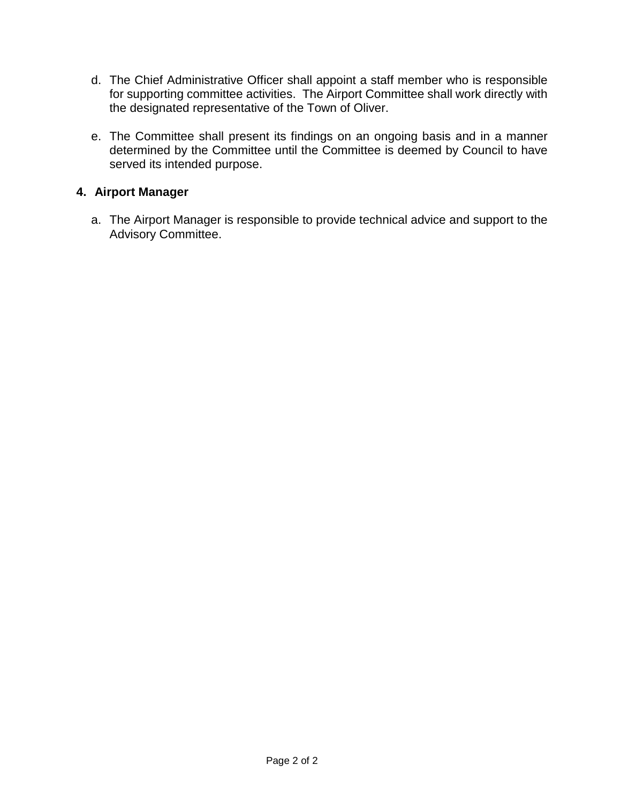- d. The Chief Administrative Officer shall appoint a staff member who is responsible for supporting committee activities. The Airport Committee shall work directly with the designated representative of the Town of Oliver.
- e. The Committee shall present its findings on an ongoing basis and in a manner determined by the Committee until the Committee is deemed by Council to have served its intended purpose.

## **4. Airport Manager**

a. The Airport Manager is responsible to provide technical advice and support to the Advisory Committee.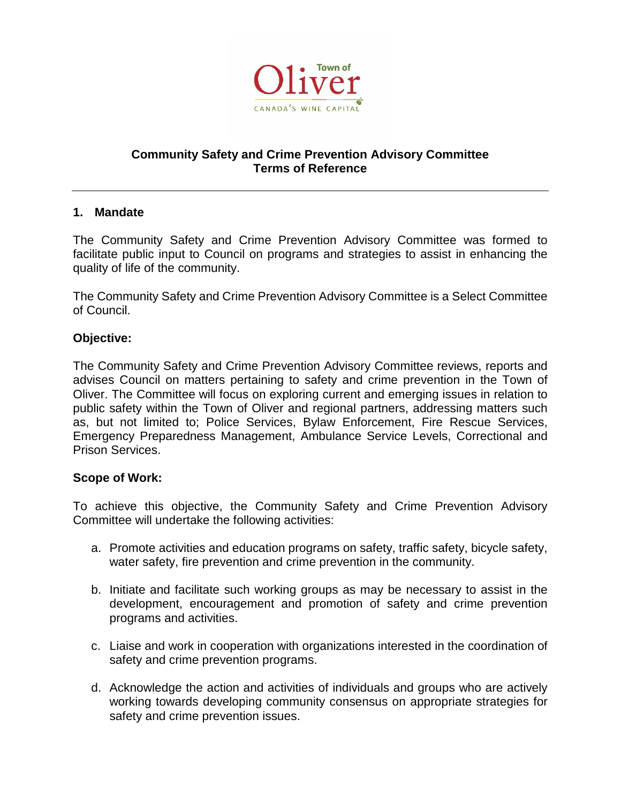

## **Community Safety and Crime Prevention Advisory Committee Terms of Reference**

#### **1. Mandate**

The Community Safety and Crime Prevention Advisory Committee was formed to facilitate public input to Council on programs and strategies to assist in enhancing the quality of life of the community.

The Community Safety and Crime Prevention Advisory Committee is a Select Committee of Council.

#### **Objective:**

The Community Safety and Crime Prevention Advisory Committee reviews, reports and advises Council on matters pertaining to safety and crime prevention in the Town of Oliver. The Committee will focus on exploring current and emerging issues in relation to public safety within the Town of Oliver and regional partners, addressing matters such as, but not limited to; Police Services, Bylaw Enforcement, Fire Rescue Services, Emergency Preparedness Management, Ambulance Service Levels, Correctional and Prison Services.

#### **Scope of Work:**

To achieve this objective, the Community Safety and Crime Prevention Advisory Committee will undertake the following activities:

- a. Promote activities and education programs on safety, traffic safety, bicycle safety, water safety, fire prevention and crime prevention in the community.
- b. Initiate and facilitate such working groups as may be necessary to assist in the development, encouragement and promotion of safety and crime prevention programs and activities.
- c. Liaise and work in cooperation with organizations interested in the coordination of safety and crime prevention programs.
- d. Acknowledge the action and activities of individuals and groups who are actively working towards developing community consensus on appropriate strategies for safety and crime prevention issues.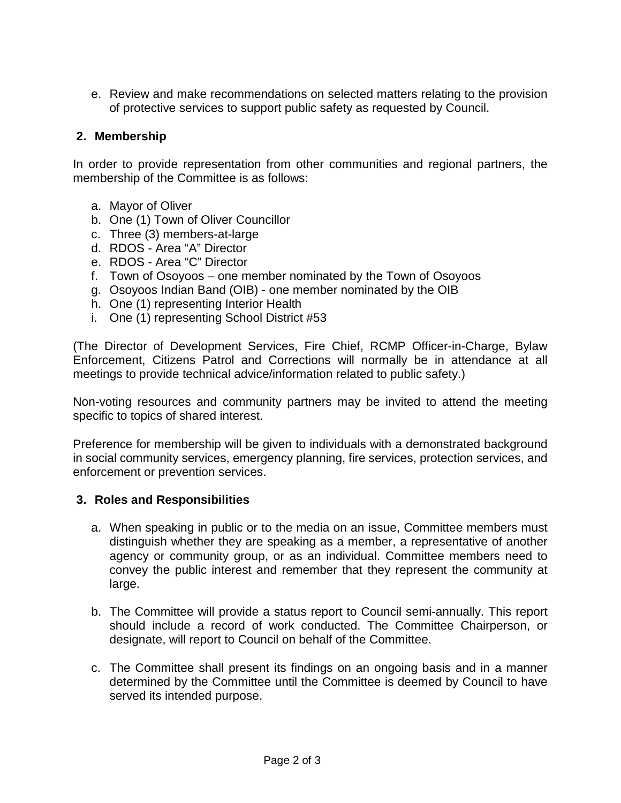e. Review and make recommendations on selected matters relating to the provision of protective services to support public safety as requested by Council.

## **2. Membership**

In order to provide representation from other communities and regional partners, the membership of the Committee is as follows:

- a. Mayor of Oliver
- b. One (1) Town of Oliver Councillor
- c. Three (3) members-at-large
- d. RDOS Area "A" Director
- e. RDOS Area "C" Director
- f. Town of Osoyoos one member nominated by the Town of Osoyoos
- g. Osoyoos Indian Band (OIB) one member nominated by the OIB
- h. One (1) representing Interior Health
- i. One (1) representing School District #53

(The Director of Development Services, Fire Chief, RCMP Officer-in-Charge, Bylaw Enforcement, Citizens Patrol and Corrections will normally be in attendance at all meetings to provide technical advice/information related to public safety.)

Non-voting resources and community partners may be invited to attend the meeting specific to topics of shared interest.

Preference for membership will be given to individuals with a demonstrated background in social community services, emergency planning, fire services, protection services, and enforcement or prevention services.

## **3. Roles and Responsibilities**

- a. When speaking in public or to the media on an issue, Committee members must distinguish whether they are speaking as a member, a representative of another agency or community group, or as an individual. Committee members need to convey the public interest and remember that they represent the community at large.
- b. The Committee will provide a status report to Council semi-annually. This report should include a record of work conducted. The Committee Chairperson, or designate, will report to Council on behalf of the Committee.
- c. The Committee shall present its findings on an ongoing basis and in a manner determined by the Committee until the Committee is deemed by Council to have served its intended purpose.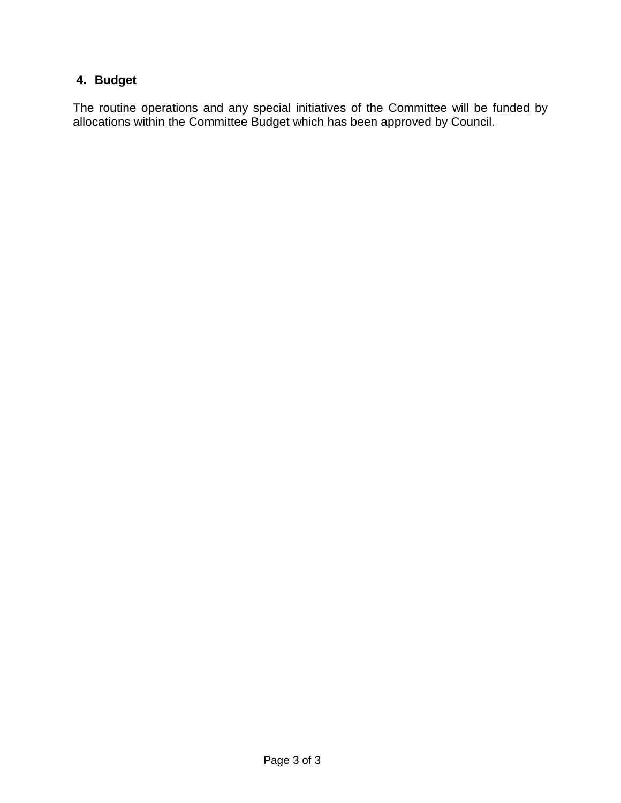# **4. Budget**

The routine operations and any special initiatives of the Committee will be funded by allocations within the Committee Budget which has been approved by Council.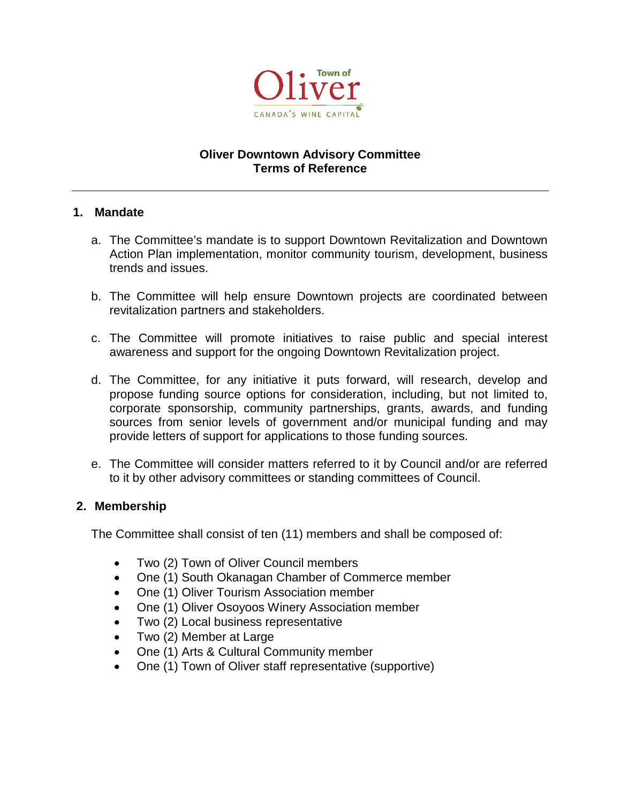

## **Oliver Downtown Advisory Committee Terms of Reference**

#### **1. Mandate**

- a. The Committee's mandate is to support Downtown Revitalization and Downtown Action Plan implementation, monitor community tourism, development, business trends and issues.
- b. The Committee will help ensure Downtown projects are coordinated between revitalization partners and stakeholders.
- c. The Committee will promote initiatives to raise public and special interest awareness and support for the ongoing Downtown Revitalization project.
- d. The Committee, for any initiative it puts forward, will research, develop and propose funding source options for consideration, including, but not limited to, corporate sponsorship, community partnerships, grants, awards, and funding sources from senior levels of government and/or municipal funding and may provide letters of support for applications to those funding sources.
- e. The Committee will consider matters referred to it by Council and/or are referred to it by other advisory committees or standing committees of Council.

## **2. Membership**

The Committee shall consist of ten (11) members and shall be composed of:

- Two (2) Town of Oliver Council members
- One (1) South Okanagan Chamber of Commerce member
- One (1) Oliver Tourism Association member
- One (1) Oliver Osoyoos Winery Association member
- Two (2) Local business representative
- Two (2) Member at Large
- One (1) Arts & Cultural Community member
- One (1) Town of Oliver staff representative (supportive)